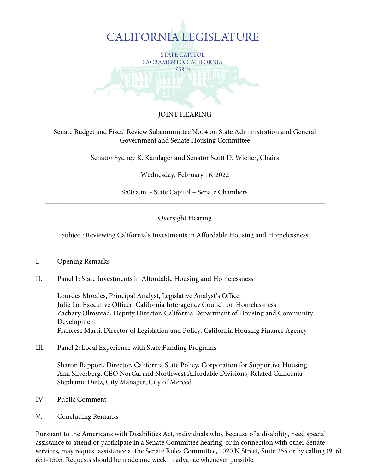

# JOINT HEARING

Senate Budget and Fiscal Review Subcommittee No. 4 on State Administration and General Government and Senate Housing Committee

Senator Sydney K. Kamlager and Senator Scott D. Wiener, Chairs

Wednesday, February 16, 2022

9:00 a.m. - State Capitol – Senate Chambers \_\_\_\_\_\_\_\_\_\_\_\_\_\_\_\_\_\_\_\_\_\_\_\_\_\_\_\_\_\_\_\_\_\_\_\_\_\_\_\_\_\_\_\_\_\_\_\_\_\_\_\_\_\_\_\_\_\_\_\_\_\_\_\_\_\_\_\_\_\_\_\_\_\_\_\_\_\_

#### Oversight Hearing

Subject: Reviewing California's Investments in Affordable Housing and Homelessness

- I. Opening Remarks
- II. Panel 1: State Investments in Affordable Housing and Homelessness

Lourdes Morales, Principal Analyst, Legislative Analyst's Office Julie Lo, Executive Officer, California Interagency Council on Homelessness Zachary Olmstead, Deputy Director, California Department of Housing and Community Development Francesc Marti, Director of Legislation and Policy, California Housing Finance Agency

III. Panel 2: Local Experience with State Funding Programs

Sharon Rapport, Director, California State Policy, Corporation for Supportive Housing Ann Silverberg, CEO NorCal and Northwest Affordable Divisions, Related California Stephanie Dietz, City Manager, City of Merced

- IV. Public Comment
- V. Concluding Remarks

Pursuant to the Americans with Disabilities Act, individuals who, because of a disability, need special assistance to attend or participate in a Senate Committee hearing, or in connection with other Senate services, may request assistance at the Senate Rules Committee, 1020 N Street, Suite 255 or by calling (916) 651-1505. Requests should be made one week in advance whenever possible.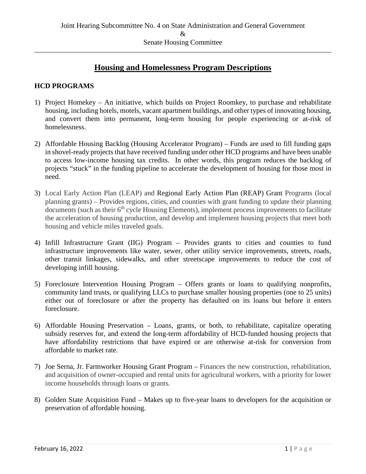# **Housing and Homelessness Program Descriptions**

### **HCD PROGRAMS**

- 1) Project Homekey An initiative, which builds on Project Roomkey, to purchase and rehabilitate housing, including hotels, motels, vacant apartment buildings, and other types of innovating housing, and convert them into permanent, long-term housing for people experiencing or at-risk of homelessness.
- 2) Affordable Housing Backlog (Housing Accelerator Program) Funds are used to fill funding gaps in shovel-ready projects that have received funding under other HCD programs and have been unable to access low-income housing tax credits. In other words, this program reduces the backlog of projects "stuck" in the funding pipeline to accelerate the development of housing for those most in need.
- 3) Local Early Action Plan (LEAP) and Regional Early Action Plan (REAP) Grant Programs (local planning grants) – Provides regions, cities, and counties with grant funding to update their planning  $\frac{d}{dt}$  documents (such as their  $6<sup>th</sup>$  cycle Housing Elements), implement process improvements to facilitate the acceleration of housing production, and develop and implement housing projects that meet both housing and vehicle miles traveled goals.
- 4) Infill Infrastructure Grant (IIG) Program Provides grants to cities and counties to fund infrastructure improvements like water, sewer, other utility service improvements, streets, roads, other transit linkages, sidewalks, and other streetscape improvements to reduce the cost of developing infill housing.
- 5) Foreclosure Intervention Housing Program Offers grants or loans to qualifying nonprofits, community land trusts, or qualifying LLCs to purchase smaller housing properties (one to 25 units) either out of foreclosure or after the property has defaulted on its loans but before it enters foreclosure.
- 6) Affordable Housing Preservation Loans, grants, or both, to rehabilitate, capitalize operating subsidy reserves for, and extend the long-term affordability of HCD-funded housing projects that have affordability restrictions that have expired or are otherwise at-risk for conversion from affordable to market rate.
- 7) Joe Serna, Jr. Farmworker Housing Grant Program Finances the new construction, rehabilitation, and acquisition of owner-occupied and rental units for agricultural workers, with a priority for lower income households through loans or grants.
- 8) Golden State Acquisition Fund Makes up to five-year loans to developers for the acquisition or preservation of affordable housing.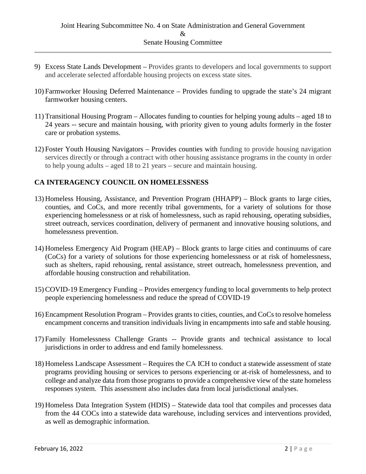- 9) Excess State Lands Development Provides grants to developers and local governments to support and accelerate selected affordable housing projects on excess state sites.
- 10) Farmworker Housing Deferred Maintenance Provides funding to upgrade the state's 24 migrant farmworker housing centers.
- 11) Transitional Housing Program Allocates funding to counties for helping young adults aged 18 to 24 years -- secure and maintain housing, with priority given to young adults formerly in the foster care or probation systems.
- 12) Foster Youth Housing Navigators Provides counties with funding to provide housing navigation services directly or through a contract with other housing assistance programs in the county in order to help young adults – aged 18 to 21 years – secure and maintain housing.

# **CA INTERAGENCY COUNCIL ON HOMELESSNESS**

- 13) Homeless Housing, Assistance, and Prevention Program (HHAPP) Block grants to large cities, counties, and CoCs, and more recently tribal governments, for a variety of solutions for those experiencing homelessness or at risk of homelessness, such as rapid rehousing, operating subsidies, street outreach, services coordination, delivery of permanent and innovative housing solutions, and homelessness prevention.
- 14) Homeless Emergency Aid Program (HEAP) Block grants to large cities and continuums of care (CoCs) for a variety of solutions for those experiencing homelessness or at risk of homelessness, such as shelters, rapid rehousing, rental assistance, street outreach, homelessness prevention, and affordable housing construction and rehabilitation.
- 15) COVID-19 Emergency Funding Provides emergency funding to local governments to help protect people experiencing homelessness and reduce the spread of COVID-19
- 16) Encampment Resolution Program Provides grants to cities, counties, and CoCs to resolve homeless encampment concerns and transition individuals living in encampments into safe and stable housing.
- 17) Family Homelessness Challenge Grants -- Provide grants and technical assistance to local jurisdictions in order to address and end family homelessness.
- 18) Homeless Landscape Assessment Requires the CA ICH to conduct a statewide assessment of state programs providing housing or services to persons experiencing or at-risk of homelessness, and to college and analyze data from those programs to provide a comprehensive view of the state homeless responses system. This assessment also includes data from local jurisdictional analyses.
- 19) Homeless Data Integration System (HDIS) Statewide data tool that compiles and processes data from the 44 COCs into a statewide data warehouse, including services and interventions provided, as well as demographic information.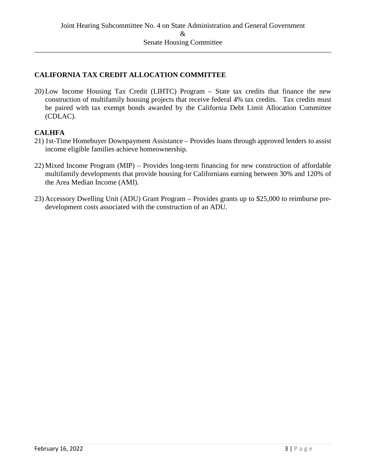## **CALIFORNIA TAX CREDIT ALLOCATION COMMITTEE**

20) Low Income Housing Tax Credit (LIHTC) Program – State tax credits that finance the new construction of multifamily housing projects that receive federal 4% tax credits. Tax credits must be paired with tax exempt bonds awarded by the California Debt Limit Allocation Committee (CDLAC).

#### **CALHFA**

- 21) 1st-Time Homebuyer Downpayment Assistance Provides loans through approved lenders to assist income eligible families achieve homeownership.
- 22) Mixed Income Program (MIP) Provides long-term financing for new construction of affordable multifamily developments that provide housing for Californians earning between 30% and 120% of the Area Median Income (AMI).
- 23) Accessory Dwelling Unit (ADU) Grant Program Provides grants up to \$25,000 to reimburse predevelopment costs associated with the construction of an ADU.